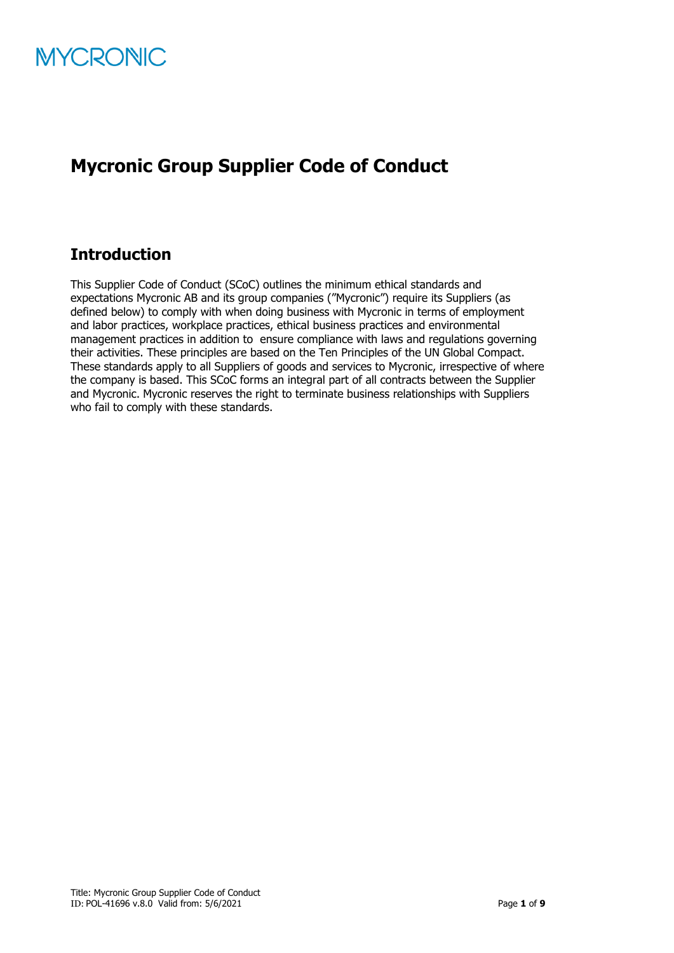

# **Mycronic Group Supplier Code of Conduct**

# **Introduction**

This Supplier Code of Conduct (SCoC) outlines the minimum ethical standards and expectations Mycronic AB and its group companies ("Mycronic") require its Suppliers (as defined below) to comply with when doing business with Mycronic in terms of employment and labor practices, workplace practices, ethical business practices and environmental management practices in addition to ensure compliance with laws and regulations governing their activities. These principles are based on the Ten Principles of the UN Global Compact. These standards apply to all Suppliers of goods and services to Mycronic, irrespective of where the company is based. This SCoC forms an integral part of all contracts between the Supplier and Mycronic. Mycronic reserves the right to terminate business relationships with Suppliers who fail to comply with these standards.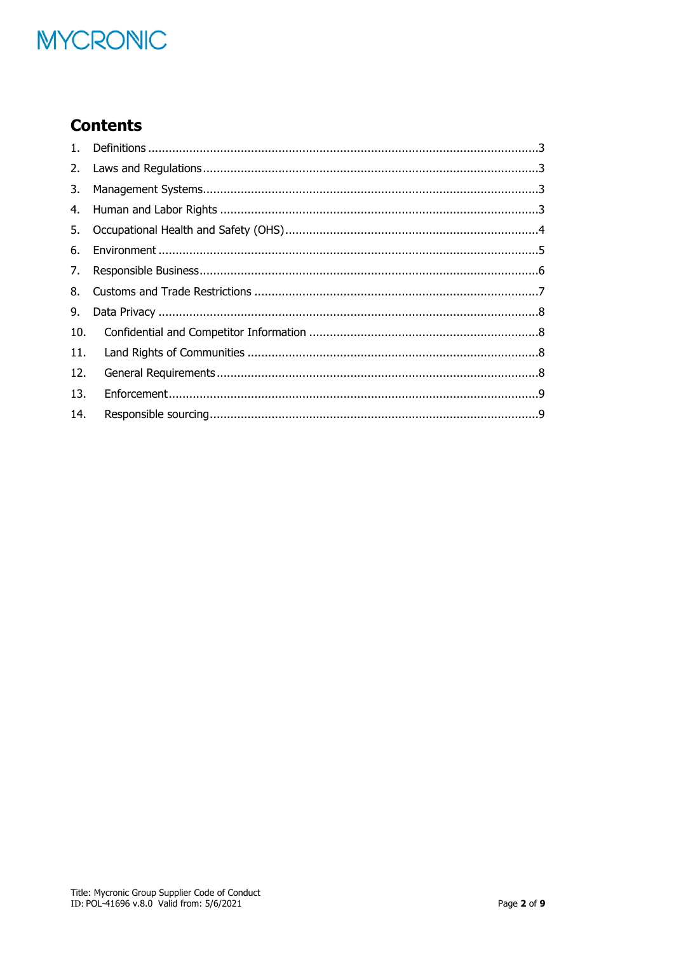# **MYCRONIC**

# **Contents**

| 3.  |  |
|-----|--|
| 4.  |  |
| 5.  |  |
| 6.  |  |
| 7.  |  |
| 8.  |  |
| 9.  |  |
| 10. |  |
| 11. |  |
| 12. |  |
| 13. |  |
| 14. |  |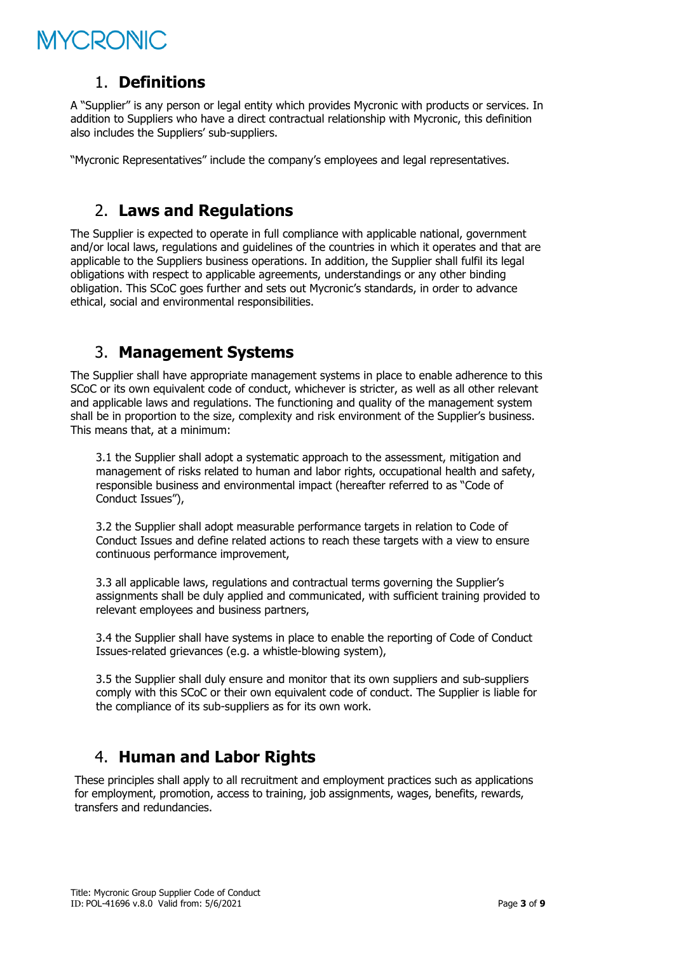# *AYCRONIC*

#### <span id="page-2-0"></span>1. **Definitions**

A "Supplier" is any person or legal entity which provides Mycronic with products or services. In addition to Suppliers who have a direct contractual relationship with Mycronic, this definition also includes the Suppliers' sub-suppliers.

<span id="page-2-1"></span>"Mycronic Representatives" include the company's employees and legal representatives.

## 2. **Laws and Regulations**

The Supplier is expected to operate in full compliance with applicable national, government and/or local laws, regulations and guidelines of the countries in which it operates and that are applicable to the Suppliers business operations. In addition, the Supplier shall fulfil its legal obligations with respect to applicable agreements, understandings or any other binding obligation. This SCoC goes further and sets out Mycronic's standards, in order to advance ethical, social and environmental responsibilities.

# <span id="page-2-2"></span>3. **Management Systems**

The Supplier shall have appropriate management systems in place to enable adherence to this SCoC or its own equivalent code of conduct, whichever is stricter, as well as all other relevant and applicable laws and regulations. The functioning and quality of the management system shall be in proportion to the size, complexity and risk environment of the Supplier's business. This means that, at a minimum:

3.1 the Supplier shall adopt a systematic approach to the assessment, mitigation and management of risks related to human and labor rights, occupational health and safety, responsible business and environmental impact (hereafter referred to as "Code of Conduct Issues"),

3.2 the Supplier shall adopt measurable performance targets in relation to Code of Conduct Issues and define related actions to reach these targets with a view to ensure continuous performance improvement,

3.3 all applicable laws, regulations and contractual terms governing the Supplier's assignments shall be duly applied and communicated, with sufficient training provided to relevant employees and business partners,

3.4 the Supplier shall have systems in place to enable the reporting of Code of Conduct Issues-related grievances (e.g. a whistle-blowing system),

3.5 the Supplier shall duly ensure and monitor that its own suppliers and sub-suppliers comply with this SCoC or their own equivalent code of conduct. The Supplier is liable for the compliance of its sub-suppliers as for its own work.

## <span id="page-2-3"></span>4. **Human and Labor Rights**

These principles shall apply to all recruitment and employment practices such as applications for employment, promotion, access to training, job assignments, wages, benefits, rewards, transfers and redundancies.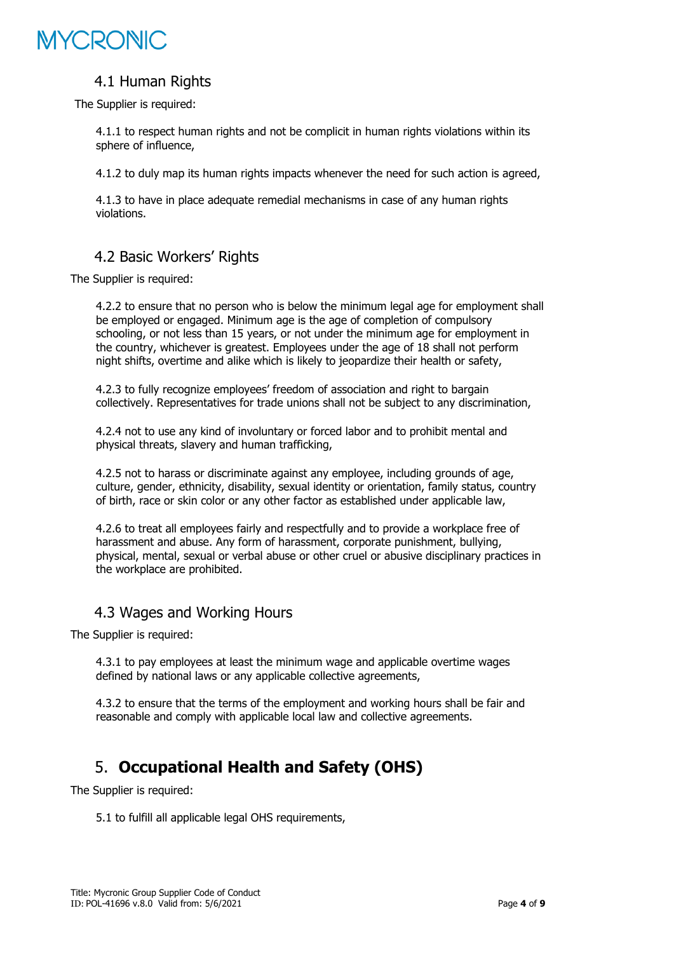# MYCRONIC

#### 4.1 Human Rights

The Supplier is required:

4.1.1 to respect human rights and not be complicit in human rights violations within its sphere of influence,

4.1.2 to duly map its human rights impacts whenever the need for such action is agreed,

4.1.3 to have in place adequate remedial mechanisms in case of any human rights violations.

### 4.2 Basic Workers' Rights

The Supplier is required:

4.2.2 to ensure that no person who is below the minimum legal age for employment shall be employed or engaged. Minimum age is the age of completion of compulsory schooling, or not less than 15 years, or not under the minimum age for employment in the country, whichever is greatest. Employees under the age of 18 shall not perform night shifts, overtime and alike which is likely to jeopardize their health or safety,

4.2.3 to fully recognize employees' freedom of association and right to bargain collectively. Representatives for trade unions shall not be subject to any discrimination,

4.2.4 not to use any kind of involuntary or forced labor and to prohibit mental and physical threats, slavery and human trafficking,

4.2.5 not to harass or discriminate against any employee, including grounds of age, culture, gender, ethnicity, disability, sexual identity or orientation, family status, country of birth, race or skin color or any other factor as established under applicable law,

4.2.6 to treat all employees fairly and respectfully and to provide a workplace free of harassment and abuse. Any form of harassment, corporate punishment, bullying, physical, mental, sexual or verbal abuse or other cruel or abusive disciplinary practices in the workplace are prohibited.

#### 4.3 Wages and Working Hours

The Supplier is required:

4.3.1 to pay employees at least the minimum wage and applicable overtime wages defined by national laws or any applicable collective agreements,

<span id="page-3-0"></span>4.3.2 to ensure that the terms of the employment and working hours shall be fair and reasonable and comply with applicable local law and collective agreements.

# 5. **Occupational Health and Safety (OHS)**

The Supplier is required:

5.1 to fulfill all applicable legal OHS requirements,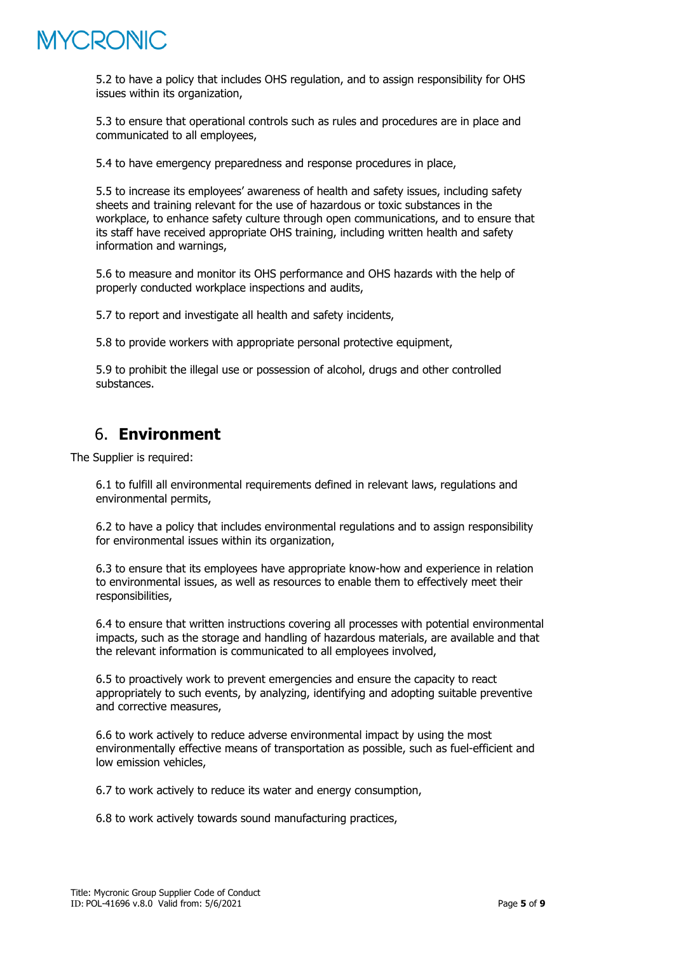

5.2 to have a policy that includes OHS regulation, and to assign responsibility for OHS issues within its organization,

5.3 to ensure that operational controls such as rules and procedures are in place and communicated to all employees,

5.4 to have emergency preparedness and response procedures in place,

5.5 to increase its employees' awareness of health and safety issues, including safety sheets and training relevant for the use of hazardous or toxic substances in the workplace, to enhance safety culture through open communications, and to ensure that its staff have received appropriate OHS training, including written health and safety information and warnings,

5.6 to measure and monitor its OHS performance and OHS hazards with the help of properly conducted workplace inspections and audits,

5.7 to report and investigate all health and safety incidents,

5.8 to provide workers with appropriate personal protective equipment,

<span id="page-4-0"></span>5.9 to prohibit the illegal use or possession of alcohol, drugs and other controlled substances.

## 6. **Environment**

The Supplier is required:

6.1 to fulfill all environmental requirements defined in relevant laws, regulations and environmental permits,

6.2 to have a policy that includes environmental regulations and to assign responsibility for environmental issues within its organization,

6.3 to ensure that its employees have appropriate know-how and experience in relation to environmental issues, as well as resources to enable them to effectively meet their responsibilities,

6.4 to ensure that written instructions covering all processes with potential environmental impacts, such as the storage and handling of hazardous materials, are available and that the relevant information is communicated to all employees involved,

6.5 to proactively work to prevent emergencies and ensure the capacity to react appropriately to such events, by analyzing, identifying and adopting suitable preventive and corrective measures,

6.6 to work actively to reduce adverse environmental impact by using the most environmentally effective means of transportation as possible, such as fuel-efficient and low emission vehicles,

6.7 to work actively to reduce its water and energy consumption,

6.8 to work actively towards sound manufacturing practices,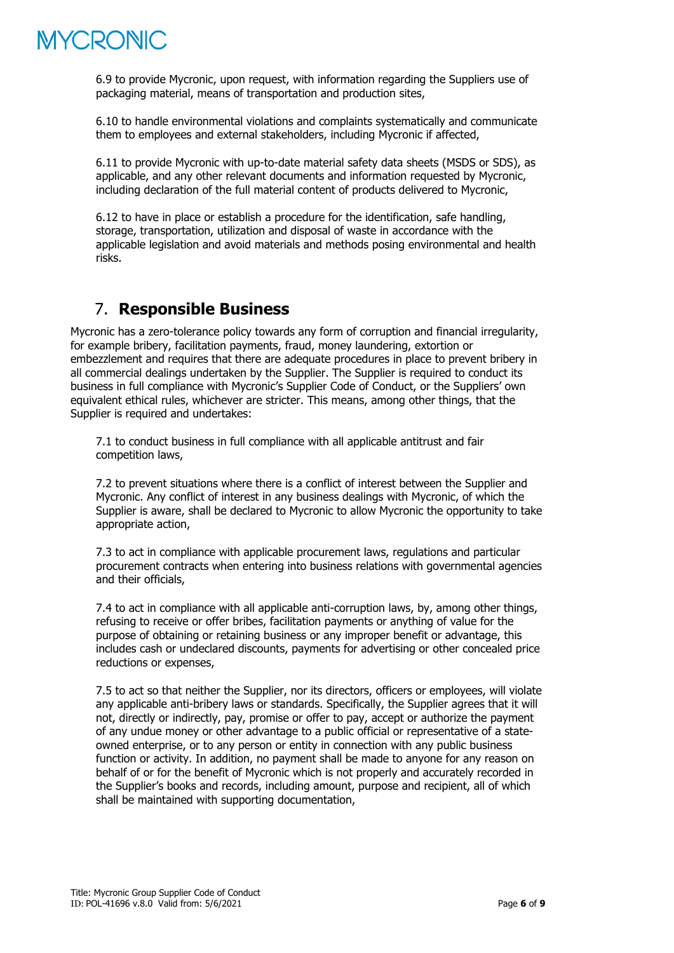

6.9 to provide Mycronic, upon request, with information regarding the Suppliers use of packaging material, means of transportation and production sites,

6.10 to handle environmental violations and complaints systematically and communicate them to employees and external stakeholders, including Mycronic if affected,

6.11 to provide Mycronic with up-to-date material safety data sheets (MSDS or SDS), as applicable, and any other relevant documents and information requested by Mycronic, including declaration of the full material content of products delivered to Mycronic,

6.12 to have in place or establish a procedure for the identification, safe handling, storage, transportation, utilization and disposal of waste in accordance with the applicable legislation and avoid materials and methods posing environmental and health risks.

### <span id="page-5-0"></span>7. **Responsible Business**

Mycronic has a zero-tolerance policy towards any form of corruption and financial irregularity, for example bribery, facilitation payments, fraud, money laundering, extortion or embezzlement and requires that there are adequate procedures in place to prevent bribery in all commercial dealings undertaken by the Supplier. The Supplier is required to conduct its business in full compliance with Mycronic's Supplier Code of Conduct, or the Suppliers' own equivalent ethical rules, whichever are stricter. This means, among other things, that the Supplier is required and undertakes:

7.1 to conduct business in full compliance with all applicable antitrust and fair competition laws,

7.2 to prevent situations where there is a conflict of interest between the Supplier and Mycronic. Any conflict of interest in any business dealings with Mycronic, of which the Supplier is aware, shall be declared to Mycronic to allow Mycronic the opportunity to take appropriate action,

7.3 to act in compliance with applicable procurement laws, regulations and particular procurement contracts when entering into business relations with governmental agencies and their officials,

7.4 to act in compliance with all applicable anti-corruption laws, by, among other things, refusing to receive or offer bribes, facilitation payments or anything of value for the purpose of obtaining or retaining business or any improper benefit or advantage, this includes cash or undeclared discounts, payments for advertising or other concealed price reductions or expenses,

7.5 to act so that neither the Supplier, nor its directors, officers or employees, will violate any applicable anti-bribery laws or standards. Specifically, the Supplier agrees that it will not, directly or indirectly, pay, promise or offer to pay, accept or authorize the payment of any undue money or other advantage to a public official or representative of a stateowned enterprise, or to any person or entity in connection with any public business function or activity. In addition, no payment shall be made to anyone for any reason on behalf of or for the benefit of Mycronic which is not properly and accurately recorded in the Supplier's books and records, including amount, purpose and recipient, all of which shall be maintained with supporting documentation,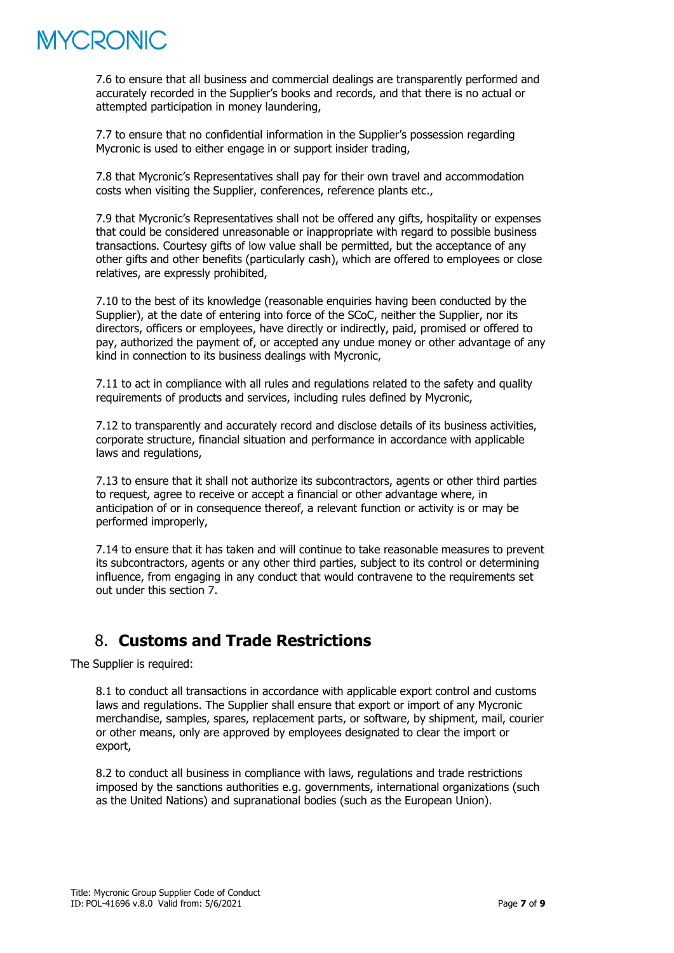# YCRONIC

7.6 to ensure that all business and commercial dealings are transparently performed and accurately recorded in the Supplier's books and records, and that there is no actual or attempted participation in money laundering,

7.7 to ensure that no confidential information in the Supplier's possession regarding Mycronic is used to either engage in or support insider trading,

7.8 that Mycronic's Representatives shall pay for their own travel and accommodation costs when visiting the Supplier, conferences, reference plants etc.,

7.9 that Mycronic's Representatives shall not be offered any gifts, hospitality or expenses that could be considered unreasonable or inappropriate with regard to possible business transactions. Courtesy gifts of low value shall be permitted, but the acceptance of any other gifts and other benefits (particularly cash), which are offered to employees or close relatives, are expressly prohibited,

7.10 to the best of its knowledge (reasonable enquiries having been conducted by the Supplier), at the date of entering into force of the SCoC, neither the Supplier, nor its directors, officers or employees, have directly or indirectly, paid, promised or offered to pay, authorized the payment of, or accepted any undue money or other advantage of any kind in connection to its business dealings with Mycronic,

7.11 to act in compliance with all rules and regulations related to the safety and quality requirements of products and services, including rules defined by Mycronic,

7.12 to transparently and accurately record and disclose details of its business activities, corporate structure, financial situation and performance in accordance with applicable laws and regulations,

7.13 to ensure that it shall not authorize its subcontractors, agents or other third parties to request, agree to receive or accept a financial or other advantage where, in anticipation of or in consequence thereof, a relevant function or activity is or may be performed improperly,

7.14 to ensure that it has taken and will continue to take reasonable measures to prevent its subcontractors, agents or any other third parties, subject to its control or determining influence, from engaging in any conduct that would contravene to the requirements set out under this section 7.

# <span id="page-6-0"></span>8. **Customs and Trade Restrictions**

The Supplier is required:

8.1 to conduct all transactions in accordance with applicable export control and customs laws and regulations. The Supplier shall ensure that export or import of any Mycronic merchandise, samples, spares, replacement parts, or software, by shipment, mail, courier or other means, only are approved by employees designated to clear the import or export,

8.2 to conduct all business in compliance with laws, regulations and trade restrictions imposed by the sanctions authorities e.g. governments, international organizations (such as the United Nations) and supranational bodies (such as the European Union).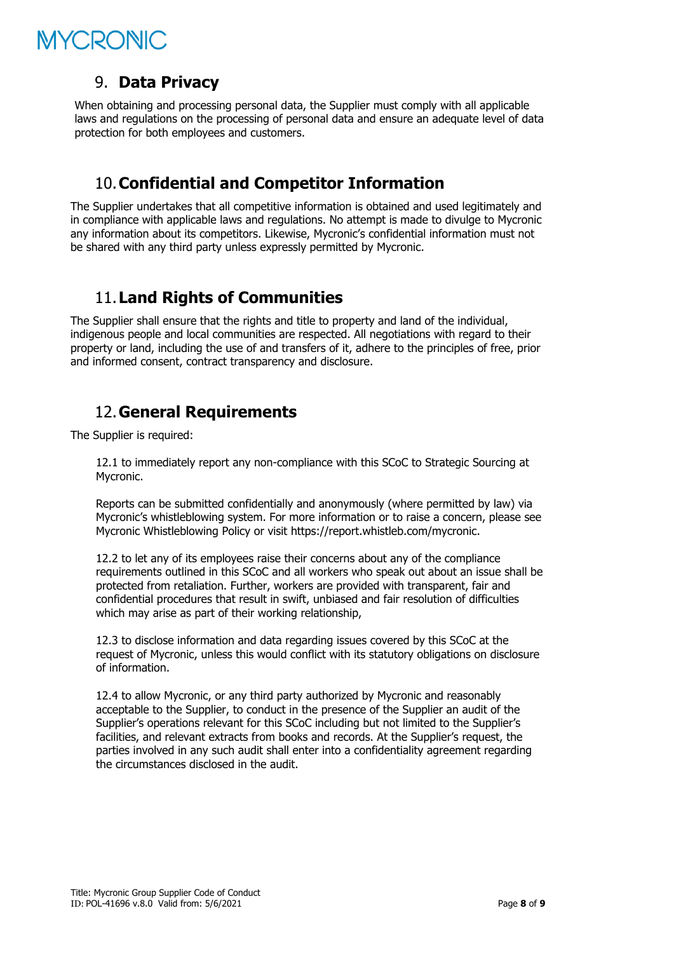# MYCRONIC

### <span id="page-7-0"></span>9. **Data Privacy**

When obtaining and processing personal data, the Supplier must comply with all applicable laws and regulations on the processing of personal data and ensure an adequate level of data protection for both employees and customers.

## <span id="page-7-1"></span>10.**Confidential and Competitor Information**

The Supplier undertakes that all competitive information is obtained and used legitimately and in compliance with applicable laws and regulations. No attempt is made to divulge to Mycronic any information about its competitors. Likewise, Mycronic's confidential information must not be shared with any third party unless expressly permitted by Mycronic.

## <span id="page-7-2"></span>11.**Land Rights of Communities**

The Supplier shall ensure that the rights and title to property and land of the individual, indigenous people and local communities are respected. All negotiations with regard to their property or land, including the use of and transfers of it, adhere to the principles of free, prior and informed consent, contract transparency and disclosure.

## <span id="page-7-3"></span>12.**General Requirements**

The Supplier is required:

12.1 to immediately report any non-compliance with this SCoC to Strategic Sourcing at Mycronic.

Reports can be submitted confidentially and anonymously (where permitted by law) via Mycronic's whistleblowing system. For more information or to raise a concern, please see Mycronic Whistleblowing Policy or visit<https://report.whistleb.com/mycronic>.

12.2 to let any of its employees raise their concerns about any of the compliance requirements outlined in this SCoC and all workers who speak out about an issue shall be protected from retaliation. Further, workers are provided with transparent, fair and confidential procedures that result in swift, unbiased and fair resolution of difficulties which may arise as part of their working relationship,

12.3 to disclose information and data regarding issues covered by this SCoC at the request of Mycronic, unless this would conflict with its statutory obligations on disclosure of information.

12.4 to allow Mycronic, or any third party authorized by Mycronic and reasonably acceptable to the Supplier, to conduct in the presence of the Supplier an audit of the Supplier's operations relevant for this SCoC including but not limited to the Supplier's facilities, and relevant extracts from books and records. At the Supplier's request, the parties involved in any such audit shall enter into a confidentiality agreement regarding the circumstances disclosed in the audit.